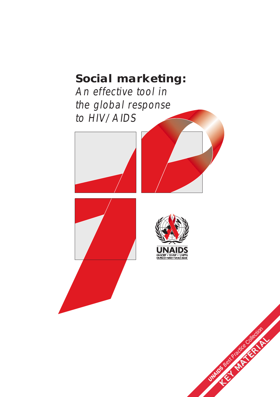### **Social marketing:** *An effective tool in the global response to HIV/AIDS*



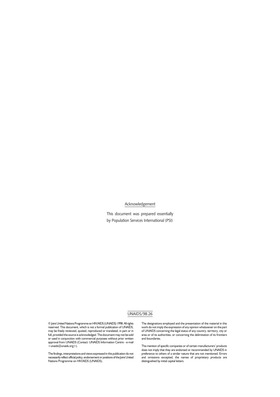#### Acknowledgement

This document was prepared essentially by Population Services International (PSI)

#### UNAIDS/98.26

© Joint United Nations Programme on HIV/AIDS (UNAIDS) 1998. All rights reserved. This document, which is not a formal publication of UNAIDS, may be freely reviewed, quoted, reproduced or translated, in part or in full, provided the source is acknowledged. The document may not be sold or used in conjunction with commercial purposes without prior written approval from UNAIDS (Contact: UNAIDS Information Centre - e-mail <unaids@unaids.org>).

The findings, interpretations and views expressed in this publication do not necessarily reflect official policy, endorsement or positions of the Joint United Nations Programme on HIV/AIDS (UNAIDS).

The designations employed and the presentation of the material in this work do not imply the expression of any opinion whatsoever on the part of UNAIDS concerning the legal status of any country, territory, city or area or of its authorities, or concerning the delimitation of its frontiers and boundaries.

The mention of specific companies or of certain manufacturers' products does not imply that they are endorsed or recommended by UNAIDS in preference to others of a similar nature that are not mentioned. Errors and omissions excepted, the names of proprietary products are distinguished by initial capital letters.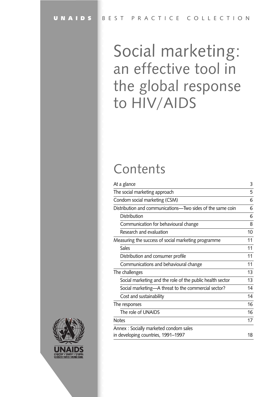### Social marketing: an effective tool in the global response to HIV/AIDS

### Contents

| At a glance                                                | 3  |
|------------------------------------------------------------|----|
| The social marketing approach                              | 5  |
| Condom social marketing (CSM)                              | 6  |
| Distribution and communications-Two sides of the same coin | 6  |
| Distribution                                               | 6  |
| Communication for behavioural change                       | 8  |
| Research and evaluation                                    | 10 |
| Measuring the success of social marketing programme        | 11 |
| <b>Sales</b>                                               | 11 |
| Distribution and consumer profile                          | 11 |
| Communications and behavioural change                      | 11 |
| The challenges                                             | 13 |
| Social marketing and the role of the public health sector  | 13 |
| Social marketing—A threat to the commercial sector?        | 14 |
| Cost and sustainability                                    | 14 |
| The responses                                              | 16 |
| The role of UNAIDS                                         | 16 |
| <b>Notes</b>                                               | 17 |
| Annex: Socially marketed condom sales                      |    |
| in developing countries, 1991-1997                         | 18 |

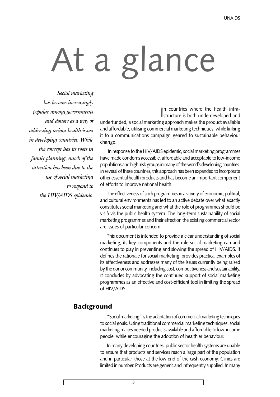# At a glance

Social marketing has become increasingly popular among governments and donors as a way of addressing serious health issues in developing countries. While the concept has its roots in family planning, much of the attention has been due to the use of social marketing to respond to the HIV/AIDS epidemic.

In countries where the health infra-<br>Intructure is both underdeveloped and n countries where the health infraunderfunded, a social marketing approach makes the product available and affordable, utilising commercial marketing techniques, while linking it to a communications campaign geared to sustainable behaviour change.

In response to the HIV/AIDS epidemic, social marketing programmes have made condoms accessible, affordable and acceptable to low-income populations and high-risk groups in many of the world's developing countries. In several of these countries, this approach has been expanded to incorporate other essential health products and has become an important component of efforts to improve national health.

The effectiveness of such programmes in a variety of economic, political, and cultural environments has led to an active debate over what exactly constitutes social marketing and what the role of programmes should be vis à vis the public health system. The long-term sustainability of social marketing programmes and their effect on the existing commercial sector are issues of particular concern.

This document is intended to provide a clear understanding of social marketing, its key components and the role social marketing can and continues to play in preventing and slowing the spread of HIV/AIDS. It defines the rationale for social marketing, provides practical examples of its effectiveness and addresses many of the issues currently being raised by the donor community, including cost, competitiveness and sustainability. It concludes by advocating the continued support of social marketing programmes as an effective and cost-efficient tool in limiting the spread of HIV/AIDS.

#### Background

"Social marketing" is the adaptation of commercial marketing techniques to social goals. Using traditional commercial marketing techniques, social marketing makes needed products available and affordable to low-income people, while encouraging the adoption of healthier behaviour.

In many developing countries, public sector health systems are unable to ensure that products and services reach a large part of the population and in particular, those at the low end of the cash economy. Clinics are limited in number. Products are generic and infrequently supplied. In many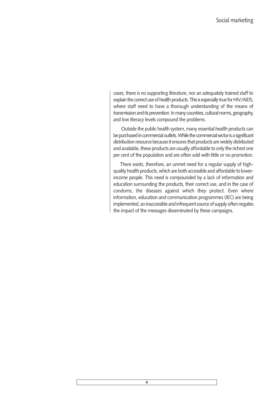cases, there is no supporting literature, nor an adequately trained staff to explain the correct use of health products. This is especially true for HIV/AIDS, where staff need to have a thorough understanding of the means of transmission and its prevention. In many countries, cultural norms, geography, and low literacy levels compound the problems.

Outside the public health system, many essential health products can be purchased in commercial outlets. While the commercial sector is a significant distribution resource because it ensures that products are widely distributed and available, these products are usually affordable to only the richest one per cent of the population and are often sold with little or no promotion.

There exists, therefore, an unmet need for a regular supply of highquality health products, which are both accessible and affordable to lowerincome people. This need is compounded by a lack of information and education surrounding the products, their correct use, and in the case of condoms, the diseases against which they protect. Even where information, education and communication programmes (IEC) are being implemented, an inaccessible and infrequent source of supply often negates the impact of the messages disseminated by these campaigns.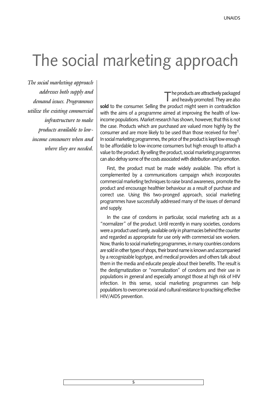### The social marketing approach

The social marketing approach addresses both supply and demand issues. Programmes utilize the existing commercial infrastructure to make products available to lowincome consumers when and where they are needed.

The products are attractively packaged<br>and heavily promoted. They are also sold to the consumer. Selling the product might seem in contradiction with the aims of a programme aimed at improving the health of lowincome populations. Market research has shown, however, that this is not the case. Products which are purchased are valued more highly by the consumer and are more likely to be used than those received for free<sup>1</sup>. In social marketing programmes, the price of the product is kept low enough to be affordable to low-income consumers but high enough to attach a value to the product. By selling the product, social marketing programmes can also defray some of the costs associated with distribution and promotion.

First, the product must be made widely available. This effort is complemented by a communications campaign which incorporates commercial marketing techniques to raise brand awareness, promote the product and encourage healthier behaviour as a result of purchase and correct use. Using this two-pronged approach, social marketing programmes have successfully addressed many of the issues of demand and supply.

In the case of condoms in particular, social marketing acts as a "normalizer" of the product. Until recently in many societies, condoms were a product used rarely, available only in pharmacies behind the counter and regarded as appropriate for use only with commercial sex workers. Now, thanks to social marketing programmes, in many countries condoms are sold in other types of shops, their brand name is known and accompanied by a recognizable logotype, and medical providers and others talk about them in the media and educate people about their benefits. The result is the destigmatization or "normalization" of condoms and their use in populations in general and especially amongst those at high risk of HIV infection. In this sense, social marketing programmes can help populations to overcome social and cultural resistance to practising effective HIV/AIDS prevention.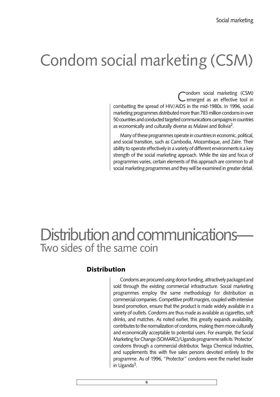### Condom social marketing (CSM)

Condom social marketing (CSM)<br>
emerged as an effective tool in combatting the spread of HIV/AIDS in the mid-1980s. In 1996, social marketing programmes distributed more than 783 million condoms in over 50 countries and conducted targeted communications campaigns in countries as economically and culturally diverse as Malawi and Bolivia<sup>2</sup>.

Many of these programmes operate in countries in economic, political, and social transition, such as Cambodia, Mozambique, and Zaïre. Their ability to operate effectively in a variety of different environments is a key strength of the social marketing approach. While the size and focus of programmes varies, certain elements of this approach are common to all social marketing programmes and they will be examined in greater detail.

### Distribution and communications Two sides of the same coin

#### **Distribution**

Condoms are procured using donor funding, attractively packaged and sold through the existing commercial infrastructure. Social marketing programmes employ the same methodology for distribution as commercial companies. Competitive profit margins, coupled with intensive brand promotion, ensure that the product is made widely available in a variety of outlets. Condoms are thus made as available as cigarettes, soft drinks, and matches. As noted earlier, this greatly expands availability, contributes to the normalization of condoms, making them more culturally and economically acceptable to potential users. For example, the Social Marketing for Change (SOMARC)/Uganda programme sells its 'Protector' condoms through a commercial distributor, Twiga Chemical Industries, and supplements this with five sales persons devoted entirely to the programme. As of 1996, "Protector" condoms were the market leader in Uganda $3$ .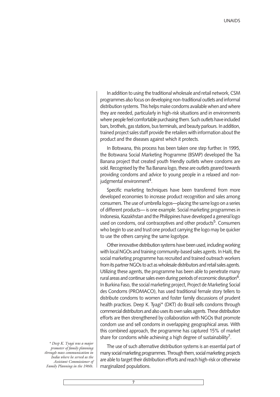In addition to using the traditional wholesale and retail network, CSM programmes also focus on developing non-traditional outlets and informal distribution systems. This helps make condoms available when and where they are needed, particularly in high-risk situations and in environments where people feel comfortable purchasing them. Such outlets have included bars, brothels, gas stations, bus terminals, and beauty parlours. In addition, trained project sales staff provide the retailers with information about the product and the diseases against which it protects.

In Botswana, this process has been taken one step further. In 1995, the Botswana Social Marketing Programme (BSMP) developed the Tsa Banana project that created youth friendly outlets where condoms are sold. Recognised by the Tsa Banana logo, these are outlets geared towards providing condoms and advice to young people in a relaxed and nonjudgmental environment<sup>4</sup>.

Specific marketing techniques have been transferred from more developed economies to increase product recognition and sales among consumers. The use of umbrella logos-placing the same logo on a series of different products— is one example. Social marketing programmes in Indonesia, Kazakhstan and the Philippines have developed a general logo used on condoms, oral contraceptives and other products<sup>5</sup>. Consumers who begin to use and trust one product carrying the logo may be quicker to use the others carrying the same logotype.

Other innovative distribution systems have been used, including working with local NGOs and training community-based sales agents. In Haiti, the social marketing programme has recruited and trained outreach workers from its partner NGOs to act as wholesale distributors and retail sales agents. Utilizing these agents, the programme has been able to penetrate many rural areas and continue sales even during periods of economic disruption<sup>6</sup>. In Burkina Faso, the social marketing project, Project de Marketing Social des Condoms (PROMACO), has used traditional female story tellers to distribute condoms to women and foster family discussions of prudent health practices. Deep K. Tyagi\* (DKT) do Brazil sells condoms through commercial distributors and also uses its own sales agents. These distribution efforts are then strengthened by collaboration with NGOs that promote condom use and sell condoms in overlapping geographical areas. With this combined approach, the programme has captured 15% of market share for condoms while achieving a high degree of sustainability<sup>7</sup>.

\* Deep K. Tyagi was a major promoter of family planning through mass communication in India where he served as the Assistant Commissioner of Family Planning in the 1960s.

The use of such alternative distribution systems is an essential part of many social marketing programmes. Through them, social marketing projects are able to target their distribution efforts and reach high-risk or otherwise marginalized populations.

**7**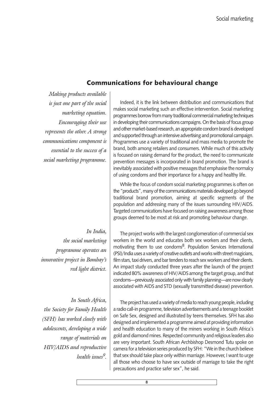#### Communications for behavioural change

Making products available is just one part of the social marketing equation. Encouraging their use represents the other. A strong communications component is essential to the success of a social marketing programme.

Indeed, it is the link between distribution and communications that makes social marketing such an effective intervention. Social marketing programmes borrow from many traditional commercial marketing techniques in developing their communications campaigns. On the basis of focus group and other market-based research, an appropriate condom brand is developed and supported through an intensive advertising and promotional campaign. Programmes use a variety of traditional and mass media to promote the brand, both among retailers and consumers. While much of this activity is focused on raising demand for the product, the need to communicate prevention messages is incorporated in brand promotion. The brand is inevitably associated with positive messages that emphasise the normalcy of using condoms and their importance for a happy and healthy life.

While the focus of condom social marketing programmes is often on the "products", many of the communications materials developed go beyond traditional brand promotion, aiming at specific segments of the population and addressing many of the issues surrounding HIV/AIDS. Targeted communications have focused on raising awareness among those groups deemed to be most at risk and promoting behaviour change.

In India, the social marketing programme operates an innovative project in Bombay's red light district.

In South Africa, the Society for Family Health (SFH) has worked closely with adolescents, developing a wide range of materials on HIV/AIDS and reproductive health issues<sup>9</sup>.

The project works with the largest conglomeration of commercial sex workers in the world and educates both sex workers and their clients, motivating them to use condoms<sup>8</sup>. Population Services International (PSI)/India uses a variety of creative outlets and works with street magicians, film stars, taxi drivers, and bar tenders to reach sex workers and their clients. An impact study conducted three years after the launch of the project indicated 80% awareness of HIV/AIDS among the target group, and that condoms—previously associated only with family planning—are now clearly associated with AIDS and STD (sexually transmitted disease) prevention.

The project has used a variety of media to reach young people, including a radio call-in programme, television advertisements and a teenage booklet on Safe Sex, designed and illustrated by teens themselves. SFH has also designed and implemented a programme aimed at providing information and health education to many of the miners working in South Africa's gold and diamond mines. Respected community and religious leaders also are very important. South African Archbishop Desmond Tutu spoke on camera for a television series produced by SFH: "We in the church believe that sex should take place only within marriage. However, I want to urge all those who choose to have sex outside of marriage to take the right precautions and practice safer sex", he said.

**8**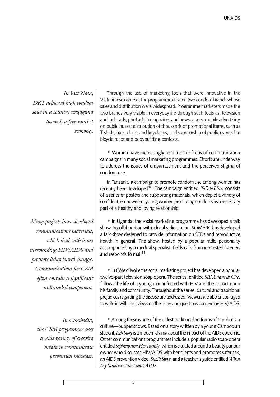In Viet Nam, DKT achieved high condom sales in a country struggling towards a free-market economy.

Many projects have developed communications materials, which deal with issues surrounding HIV/AIDS and promote behavioural change. Communications for CSM often contain a significant unbranded component.

> In Cambodia, the CSM programme uses a wide variety of creative media to communicate prevention messages.

Through the use of marketing tools that were innovative in the Vietnamese context, the programme created two condom brands whose sales and distribution were widespread. Programme marketers made the two brands very visible in everyday life through such tools as: television and radio ads; print ads in magazines and newspapers; mobile advertising on public buses; distribution of thousands of promotional items, such as T-shirts, hats, clocks and keychains; and sponsorship of public events like bicycle races and bodybuilding contests.

 Women have increasingly become the focus of communication campaigns in many social marketing programmes. Efforts are underway to address the issues of embarrassment and the perceived stigma of condom use.

In Tanzania, a campaign to promote condom use among women has recently been developed<sup>10</sup>. The campaign entitled, Talk to Him, consists of a series of posters and supporting materials, which depict a variety of confident, empowered, young women promoting condoms as a necessary part of a healthy and loving relationship.

• In Uganda, the social marketing programme has developed a talk show. In collaboration with a local radio station, SOMARC has developed a talk show designed to provide information on STDs and reproductive health in general. The show, hosted by a popular radio personality accompanied by a medical specialist, fields calls from interested listeners and responds to mail<sup>11</sup>.

• In Côte d'Ivoire the social marketing project has developed a popular twelve-part television soap opera. The series, entitled SIDA dans la Cité, follows the life of a young man infected with HIV and the impact upon his family and community. Throughout the series, cultural and traditional prejudices regarding the disease are addressed. Viewers are also encouraged to write in with their views on the series and questions concerning HIV/AIDS.

Among these is one of the oldest traditional art forms of Cambodian culture—puppet shows. Based on a story written by a young Cambodian student, Fish Story is a modern drama about the impact of the AIDS epidemic. Other communications programmes include a popular radio soap-opera entitled Sopheap and Her Family, which is situated around a beauty parlour owner who discusses HIV/AIDS with her clients and promotes safer sex, an AIDS prevention video,  $Suzi's Story$ , and a teacher's guide entitled  $When$ My Students Ask About AIDS.

**9**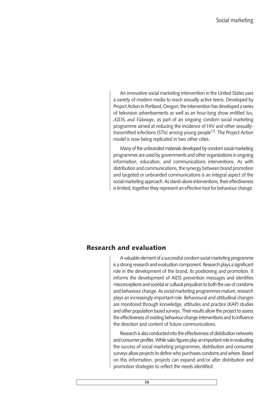An innovative social marketing intervention in the United States uses a variety of modern media to reach sexually active teens. Developed by Project Action in Portland, Oregon, the intervention has developed a series of television advertisements as well as an hour-long show entitled Sex, AIDS, and Videotape, as part of an ongoing condom social marketing programme aimed at reducing the incidence of HIV and other sexuallytransmitted infections (STIs) among young people<sup>13</sup>. The Project Action model is now being replicated in two other cities.

Many of the unbranded materials developed by condom social marketing programmes are used by governments and other organizations in ongoing information, education, and communications interventions. As with distribution and communications, the synergy between brand promotion and targeted or unbranded communications is an integral aspect of the social marketing approach. As stand-alone interventions, their effectiveness is limited, together they represent an effective tool for behaviour change.

#### Research and evaluation

Avaluable element of a successful condom social marketing programme is a strong research and evaluation component. Research plays a significant role in the development of the brand, its positioning and promotion. It informs the development of AIDS prevention messages and identifies misconceptions and societal or cultural prejudices to both the use of condoms and behaviour change. As social marketing programmes mature, research plays an increasingly important role. Behavioural and attitudinal changes are monitored through knowledge, attitudes and practice (KAP) studies and other population based surveys. Their results allow the project to assess the effectiveness of existing behaviour change interventions and to influence the direction and content of future communications.

Research is also conducted into the effectiveness of distribution networks and consumer profiles. While sales figures play an important role in evaluating the success of social marketing programmes, distribution and consumer surveys allow projects to define who purchases condoms and where. Based on this information, projects can expand and/or alter distribution and promotion strategies to reflect the needs identified.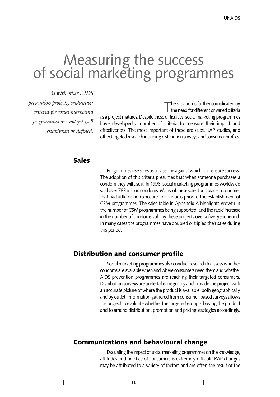## Measuring the success<br>of social marketing programmes

As with other AIDS prevention projects, evaluation criteria for social marketing programmes are not yet well established or defined.

The situation is further complicated by<br>the need for different or varied criteria as a project matures. Despite these difficulties, social marketing programmes have developed a number of criteria to measure their impact and effectiveness. The most important of these are sales, KAP studies, and other targeted research including distribution surveys and consumer profiles.

#### Sales

Programmes use sales as a base line against which to measure success. The adoption of this criteria presumes that when someone purchases a condom they will use it. In 1996, social marketing programmes worldwide sold over 783 million condoms. Many of these sales took place in countries that had little or no exposure to condoms prior to the establishment of CSM programmes. The sales table in Appendix A highlights growth in the number of CSM programmes being supported, and the rapid increase in the number of condoms sold by these projects over a five-year period. In many cases the programmes have doubled or tripled their sales during this period.

#### Distribution and consumer profile

Social marketing programmes also conduct research to assess whether condoms are available when and where consumers need them and whether AIDS prevention programmes are reaching their targeted consumers. Distribution surveys are undertaken regularly and provide the project with an accurate picture of where the product is available, both geographically and by outlet. Information gathered from consumer-based surveys allows the project to evaluate whether the targeted group is buying the product and to amend distribution, promotion and pricing strategies accordingly.

#### Communications and behavioural change

Evaluating the impact of social marketing programmes on the knowledge, attitudes and practice of consumers is extremely difficult. KAP changes may be attributed to a variety of factors and are often the result of the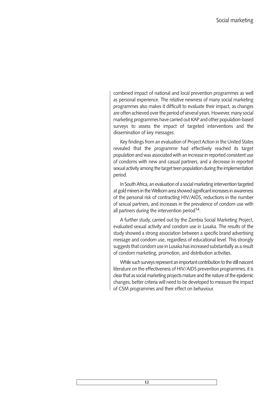combined impact of national and local prevention programmes as well as personal experience. The relative newness of many social marketing programmes also makes it difficult to evaluate their impact, as changes are often achieved over the period of several years. However, many social marketing programmes have carried out KAP and other population-based surveys to assess the impact of targeted interventions and the dissemination of key messages.

Key findings from an evaluation of Project Action in the United States revealed that the programme had effectively reached its target population and was associated with an increase in reported consistent use of condoms with new and casual partners, and a decrease in reported sexual activity among the target teen population during the implementation period.

In South Africa, an evaluation of a social marketing intervention targeted at gold miners in the Welkom area showed significant increases in awareness of the personal risk of contracting HIV/AIDS, reductions in the number of sexual partners, and increases in the prevalence of condom use with all partners during the intervention period<sup>14</sup>.

A further study, carried out by the Zambia Social Marketing Project, evaluated sexual activity and condom use in Lusaka. The results of the study showed a strong association between a specific brand advertising message and condom use, regardless of educational level. This strongly suggests that condom use in Lusaka has increased substantially as a result of condom marketing, promotion, and distribution activities.

While such surveys represent an important contribution to the still nascent literature on the effectiveness of HIV/AIDS prevention programmes, it is clear that as social marketing projects mature and the nature of the epidemic changes, better criteria will need to be developed to measure the impact of CSM programmes and their effect on behaviour.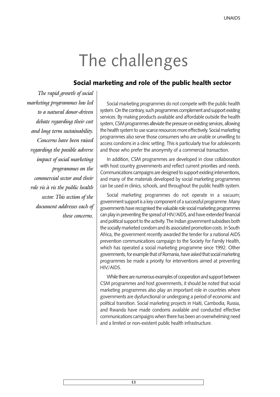### The challenges

#### Social marketing and role of the public health sector

The rapid growth of social marketing programmes has led to a natural donor-driven debate regarding their cost and long term sustainability. Concerns have been raised regarding the possible adverse impact of social marketing programmes on the commercial sector and their role vis à vis the public health sector. This section of the document addresses each of these concerns.

Social marketing programmes do not compete with the public health system. On the contrary, such programmes complement and support existing services. By making products available and affordable outside the health system, CSM programmes alleviate the pressure on existing services, allowing the health system to use scarce resources more effectively. Social marketing programmes also serve those consumers who are unable or unwilling to access condoms in a clinic setting. This is particularly true for adolescents and those who prefer the anonymity of a commercial transaction.

In addition, CSM programmes are developed in close collaboration with host country governments and reflect current priorities and needs. Communications campaigns are designed to support existing interventions, and many of the materials developed by social marketing programmes can be used in clinics, schools, and throughout the public health system.

Social marketing programmes do not operate in a vacuum; government support is a key component of a successful programme. Many governments have recognised the valuable role social marketing programmes can play in preventing the spread of HIV/AIDS, and have extended financial and political support to the activity. The Indian government subsidises both the socially marketed condom and its associated promotion costs. In South Africa, the government recently awarded the tender for a national AIDS prevention communications campaign to the Society for Family Health, which has operated a social marketing programme since 1992. Other governments, for example that of Romania, have asked that social marketing programmes be made a priority for interventions aimed at preventing HIV/AIDS.

While there are numerous examples of cooperation and support between CSM programmes and host governments, it should be noted that social marketing programmes also play an important role in countries where governments are dysfunctional or undergoing a period of economic and political transition. Social marketing projects in Haiti, Cambodia, Russia, and Rwanda have made condoms available and conducted effective communications campaigns when there has been an overwhelming need and a limited or non-existent public health infrastructure.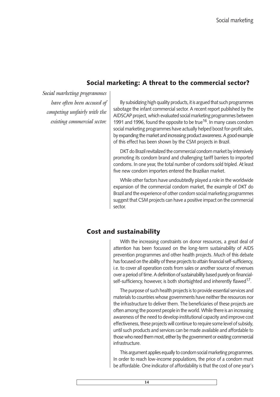#### Social marketing: A threat to the commercial sector?

Social marketing programmes have often been accused of competing unfairly with the existing commercial sector.

By subsidizing high quality products, it is argued that such programmes sabotage the infant commercial sector. A recent report published by the AIDSCAP project, which evaluated social marketing programmes between 1991 and 1996, found the opposite to be true<sup>16</sup>. In many cases condom social marketing programmes have actually helped boost for-profit sales, by expanding the market and increasing product awareness. A good example of this effect has been shown by the CSM projects in Brazil.

DKT do Brazil revitalized the commercial condom market by intensively promoting its condom brand and challenging tariff barriers to imported condoms. In one year, the total number of condoms sold tripled. At least five new condom importers entered the Brazilian market.

While other factors have undoubtedly played a role in the worldwide expansion of the commercial condom market, the example of DKT do Brazil and the experience of other condom social marketing programmes suggest that CSM projects can have a positive impact on the commercial sector.

#### Cost and sustainability

With the increasing constraints on donor resources, a great deal of attention has been focussed on the long-term sustainability of AIDS prevention programmes and other health projects. Much of this debate has focused on the ability of these projects to attain financial self-sufficiency, i.e. to cover all operation costs from sales or another source of revenues over a period of time. A definition of sustainability based purely on financialself-sufficiency, however, is both shortsighted and inherently flawed<sup>17</sup>.

The purpose of such health projects is to provide essential services and materials to countries whose governments have neither the resources nor the infrastructure to deliver them. The beneficiaries of these projects are often among the poorest people in the world. While there is an increasing awareness of the need to develop institutional capacity and improve cost effectiveness, these projects will continue to require some level of subsidy, until such products and services can be made available and affordable to those who need them most, either by the government or existing commercial infrastructure.

This argument applies equally to condom social marketing programmes. In order to reach low-income populations, the price of a condom must be affordable. One indicator of affordability is that the cost of one year's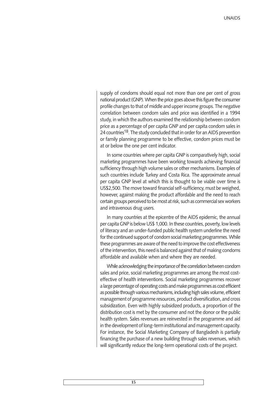supply of condoms should equal not more than one per cent of gross national product (GNP). When the price goes above this figure the consumer profile changes to that of middle and upper income groups. The negative correlation between condom sales and price was identified in a 1994 study, in which the authors examined the relationship between condom price as a percentage of per capita GNP and per capita condom sales in 24 countries<sup>18</sup>. The study concluded that in order for an AIDS prevention or family planning programme to be effective, condom prices must be at or below the one per cent indicator.

In some countries where per capita GNP is comparatively high, social marketing programmes have been working towards achieving financial sufficiency through high volume sales or other mechanisms. Examples of such countries include Turkey and Costa Rica. The approximate annual per capita GNP level at which this is thought to be viable over time is US\$2,500. The move toward financial self-sufficiency, must be weighed, however, against making the product affordable and the need to reach certain groups perceived to be most at risk, such as commercial sex workers and intravenous drug users.

In many countries at the epicentre of the AIDS epidemic, the annual per capita GNP is below US\$ 1,000. In these countries, poverty, low levels of literacy and an under-funded public health system underline the need for the continued support of condom social marketing programmes. While these programmes are aware of the need to improve the cost effectiveness of the intervention, this need is balanced against that of making condoms affordable and available when and where they are needed.

While acknowledging the importance of the correlation between condom sales and price, social marketing programmes are among the most costeffective of health interventions. Social marketing programmes recover a large percentage of operating costs and make programmes as cost efficient as possible through various mechanisms, including high sales volume, efficient management of programme resources, product diversification, and cross subsidization. Even with highly subsidized products, a proportion of the distribution cost is met by the consumer and not the donor or the public health system. Sales revenues are reinvested in the programme and aid in the development of long-term institutional and management capacity. For instance, the Social Marketing Company of Bangladesh is partially financing the purchase of a new building through sales revenues, which will significantly reduce the long-term operational costs of the project.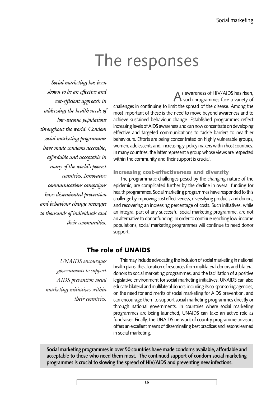### The responses

Social marketing has been shown to be an effective and cost-efficient approach in addressing the health needs of low-income populations throughout the world. Condom social marketing programmes have made condoms accessible, affordable and acceptable in many of the world's poorest countries. Innovative communications campaigns have disseminated prevention and behaviour change messages to thousands of individuals and their communities.

As awareness of HIV/AIDS has risen,<br>such programmes face a variety of challenges in continuing to limit the spread of the disease. Among the most important of these is the need to move beyond awareness and to achieve sustained behaviour change. Established programmes reflect increasing levels of AIDS awareness and can now concentrate on developing effective and targeted communications to tackle barriers to healthier behaviours. Efforts are being concentrated on highly vulnerable groups, women, adolescents and, increasingly, policy makers within host countries. In many countries, the latter represent a group whose views are respected within the community and their support is crucial.

#### Increasing cost-effectiveness and diversity

The programmatic challenges posed by the changing nature of the epidemic, are complicated further by the decline in overall funding for health programmes. Social marketing programmes have responded to this challenge by improving cost effectiveness, diversifying products and donors, and recovering an increasing percentage of costs. Such initiatives, while an integral part of any successful social marketing programme, are not an alternative to donor funding. In order to continue reaching low-income populations, social marketing programmes will continue to need donor support.

#### The role of UNAIDS

UNAIDS encourages governments to support AIDS prevention social marketing initiatives within their countries.

This may include advocating the inclusion of social marketing in national health plans, the allocation of resources from multilateral donors and bilateral donors to social marketing programmes, and the facilitation of a positive legislative environment for social marketing initiatives. UNAIDS can also educate bilateral and multilateral donors, including its co-sponsoring agencies, on the need for and merits of social marketing for AIDS prevention, and can encourage them to support social marketing programmes directly or through national governments. In countries where social marketing programmes are being launched, UNAIDS can take an active role as fundraiser. Finally, the UNAIDS network of country programme advisors offers an excellent means of disseminating best practices and lessons learned in social marketing.

Social marketing programmes in over 50 countries have made condoms available, affordable and acceptable to those who need them most. The continued support of condom social marketing programmes is crucial to slowing the spread of HIV/AIDS and preventing new infections.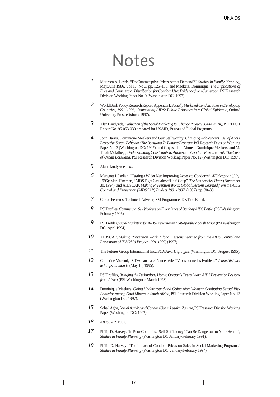### Notes

- Maureen A. Lewis, "Do Contraceptive Prices Affect Demand?", *Studies in Family Planning,* May/June 1986, Vol 17, No 3, pp. 126–135; and Meekers, Dominique, *The Implications of Free and Commercial Distribution for Condom Use: Evidence from Cameroon,* PSI Research Division Working Paper No. 9 (Washington DC: 1997). *1*
- World Bank Policy Research Report, Appendix I: *Socially Marketed Condom Sales in Developing Countries, 1991–1996*, *Confronting AIDS: Public Priorities in a Global Epidemic,* Oxford University Press (Oxford: 1997). *2*
- Alan Handyside, *Evaluation of the Social Marketing for Change Project (SOMARC III),* POPTECH Report No. 95-053-039 prepared for USAID, Bureau of Global Programs. *3*
- John Harris, Dominique Meekers and Guy Stallworthy, *Changing Adolescents' Belief About Protective Sexual Behavior: The Botswana Ta Banana Program,*PSI Research Division Working Paper No. 3 (Washington DC: 1997); and Ghyasuddin Ahmed, Dominique Meekers, and M. Tinah Molathegi, *Understanding Constraints to Adolescent Condom Procurement: The Case of Urban Botswana,* PSI Research Division Working Paper No. 12 (Washington DC: 1997). *4*
- Alan Handyside *et al. 5*
- Margaret J. Dadian, "Casting a Wider Net: Improving Access to Condoms", *AIDScaption* (July, 1996); Mark Fineman, "AIDS Fight Casualty of Haiti Coup", *The Los Angeles Times*(November 30, 1994); and AIDSCAP, *Making Prevention Work: Global Lessons Learned from the AIDS Control and Prevention (AIDSCAP) Project 1991-1997,* (1997), pp. 30–39. *6*
- Carlos Ferreros, Technical Advisor, SM Programme, DKT do Brasil. *7*
- PSI Profiles, *Commercial Sex Workers on Front Lines of Bombay AIDS Battle*, (PSI Washington: February 1996). *8*
- PSI Profiles, *Social Marketing for AIDS Prevention in Post-Apartheid South Africa*(PSI Washington DC: April 1994). *9*
- AIDSCAP, *Making Prevention Work: Global Lessons Learned from the AIDS Control and Prevention (AIDSCAP) Project 1991-1997,* (1997). *10*
- The Futures Group International Inc., *SOMARC Highlights* (Washington DC: August 1995). *11*
- Catherine Morand, "SIDA dans la cité: une série TV passionne les Ivoiriens" *Jeune Afrique: le temps du monde* (May 10, 1995). *12*
- PSI Profiles, *Bringing the Technology Home: Oregon's Teens Learn AIDS Prevention Lessons from Africa* (PSI Washington: March 1993). *13*
- Dominique Meekers, *Going Underground and Going After Women: Combating Sexual Risk Behavior among Gold Miners in South Africa,* PSI Research Division Working Paper No. 13 (Washington DC: 1997). *14*
- Sohail Agha, *Sexual Activity and Condom Use in Lusaka, Zambia,*PSI Research Division Working Paper (Washington DC: 1997). *15*
- *AIDSCAP,* 1997. *16*
- Philip D. Harvey, "In Poor Countries, 'Self-Sufficiency' Can Be Dangerous to Your Health", *Studies in Family Planning* (Washington DC:January/February 1991). *17*
- Philip D. Harvey, "The Impact of Condom Prices on Sales in Social Marketing Programs" *Studies in Family Planning* (Washington DC: January/February 1994). *18*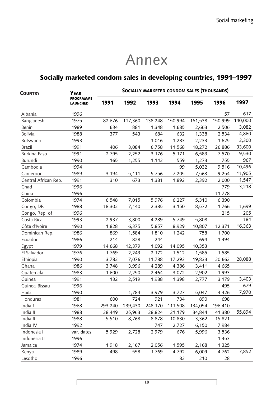### Annex

#### Socially marketed condom sales in developing countries, 1991-1997

| <b>COUNTRY</b>       | <b>YEAR</b><br><b>PROGRAMME</b><br><b>LAUNCHED</b> | SOCIALLY MARKETED CONDOM SALES (THOUSANDS) |         |         |         |         |         |         |  |
|----------------------|----------------------------------------------------|--------------------------------------------|---------|---------|---------|---------|---------|---------|--|
|                      |                                                    | 1991                                       | 1992    | 1993    | 1994    | 1995    | 1996    | 1997    |  |
| Albania              | 1996                                               |                                            |         |         |         |         | 57      | 617     |  |
| Bangladesh           | 1975                                               | 82,676                                     | 117,360 | 138,248 | 150,994 | 161,538 | 150,999 | 140,000 |  |
| Benin                | 1989                                               | 634                                        | 881     | 1,348   | 1,685   | 2,663   | 2,506   | 3,082   |  |
| <b>Bolivia</b>       | 1988                                               | 377                                        | 543     | 684     | 632     | 1,338   | 2,534   | 4,860   |  |
| Botswana             | 1993                                               |                                            |         | 1,016   | 1,283   | 2,233   | 1,625   | 2,300   |  |
| <b>Brazil</b>        | 1991                                               | 406                                        | 3,084   | 6,758   | 11,568  | 18,272  | 26,886  | 33,600  |  |
| <b>Burkina Faso</b>  | 1991                                               | 2,795                                      | 2,252   | 3,176   | 5,171   | 6,583   | 7,570   | 9,530   |  |
| Burundi              | 1990                                               | 165                                        | 1,255   | 1,142   | 559     | 1,273   | 755     | 967     |  |
| Cambodia             | 1994                                               |                                            |         |         | 99      | 5,032   | 9,516   | 10,496  |  |
| Cameroon             | 1989                                               | 3,194                                      | 5,111   | 5,756   | 7,205   | 7,563   | 9,254   | 11,905  |  |
| Central African Rep. | 1991                                               | 310                                        | 673     | 1,381   | 1,892   | 2,392   | 2,000   | 1,547   |  |
| Chad                 | 1996                                               |                                            |         |         |         |         | 779     | 3,218   |  |
| China                | 1996                                               |                                            |         |         |         |         | 11,778  |         |  |
| Colombia             | 1974                                               | 6,548                                      | 7,015   | 5,976   | 6,227   | 5,310   | 6,390   |         |  |
| Congo, DR            | 1988                                               | 18,302                                     | 7,140   | 2,385   | 3,150   | 8,572   | 1,766   | 1,699   |  |
| Congo, Rep. of       | 1996                                               |                                            |         |         |         |         | 215     | 205     |  |
| Costa Rica           | 1993                                               | 2,937                                      | 3,800   | 4,289   | 5,749   | 5,808   |         | 184     |  |
| Côte d'Ivoire        | 1990                                               | 1,828                                      | 6,375   | 5,857   | 8,929   | 10,807  | 12,371  | 16,363  |  |
| Dominican Rep.       | 1986                                               | 869                                        | 1,584   | 1,810   | 1,242   | 758     | 1,700   |         |  |
| Ecuador              | 1986                                               | 214                                        | 828     | 244     |         | 694     | 1,494   |         |  |
| Egypt                | 1979                                               | 14,668                                     | 12,379  | 1,092   | 14,095  | 10,353  |         |         |  |
| El Salvador          | 1976                                               | 1,769                                      | 2,243   | 2,172   | 1,512   | 1,585   | 1,585   |         |  |
| Ethiopia             | 1990                                               | 3,782                                      | 7,076   | 11,788  | 17,293  | 19,833  | 20,662  | 28,088  |  |
| Ghana                | 1986                                               | 3,748                                      | 3,996   | 4,289   | 4,386   | 3,411   | 4,665   |         |  |
| Guatemala            | 1983                                               | 1,600                                      | 2,250   | 2,464   | 3,072   | 2,902   | 1,993   |         |  |
| Guinea               | 1991                                               | 132                                        | 2,519   | 1,988   | 1,398   | 2,777   | 3,179   | 3,403   |  |
| Guinea-Bissau        | 1996                                               |                                            |         |         |         |         | 495     | 679     |  |
| Haiti                | 1990                                               |                                            | 1,784   | 3,979   | 3,727   | 5,047   | 4,426   | 7,970   |  |
| Honduras             | 1981                                               | 600                                        | 724     | 921     | 734     | 890     | 698     |         |  |
| India I              | 1968                                               | 293,240                                    | 239,430 | 248,170 | 111,508 | 134,054 | 196,410 |         |  |
| India II             | 1988                                               | 28,449                                     | 25,963  | 28,824  | 21,179  | 34,844  | 41,380  | 55,894  |  |
| India III            | 1988                                               | 5,510                                      | 8,768   | 8,878   | 10,830  | 3,362   | 15,821  |         |  |
| India IV             | 1992                                               |                                            |         | 747     | 2,727   | 6,150   | 7,984   |         |  |
| Indonesia I          | var. dates                                         | 5,929                                      | 2,728   | 2,979   | 676     | 5,996   | 3,536   |         |  |
| Indonesia II         | 1996                                               |                                            |         |         |         |         | 1,453   |         |  |
| Jamaica              | 1974                                               | 1,918                                      | 2,167   | 2,056   | 1,595   | 2,168   | 1,325   |         |  |
| Kenya                | 1989                                               | 498                                        | 558     | 1,769   | 4,792   | 6,009   | 4,762   | 7,852   |  |
| Lesotho              | 1996                                               |                                            |         |         | 82      | 210     | 28      |         |  |